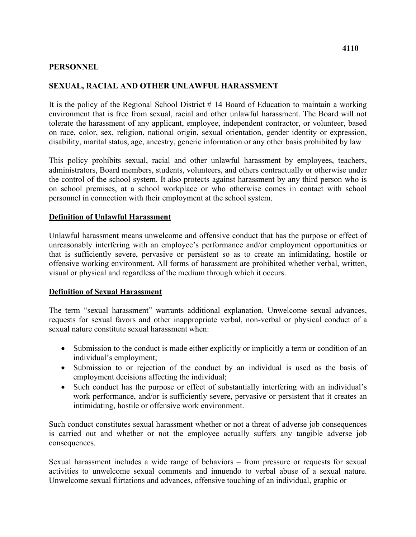#### **PERSONNEL**

## **SEXUAL, RACIAL AND OTHER UNLAWFUL HARASSMENT**

It is the policy of the Regional School District # 14 Board of Education to maintain a working environment that is free from sexual, racial and other unlawful harassment. The Board will not tolerate the harassment of any applicant, employee, independent contractor, or volunteer, based on race, color, sex, religion, national origin, sexual orientation, gender identity or expression, disability, marital status, age, ancestry, generic information or any other basis prohibited by law

 personnel in connection with their employment at the school system. This policy prohibits sexual, racial and other unlawful harassment by employees, teachers, administrators, Board members, students, volunteers, and others contractually or otherwise under the control of the school system. It also protects against harassment by any third person who is on school premises, at a school workplace or who otherwise comes in contact with school

#### **Definition of Unlawful Harassment**

Unlawful harassment means unwelcome and offensive conduct that has the purpose or effect of unreasonably interfering with an employee's performance and/or employment opportunities or that is sufficiently severe, pervasive or persistent so as to create an intimidating, hostile or offensive working environment. All forms of harassment are prohibited whether verbal, written, visual or physical and regardless of the medium through which it occurs.

#### **Definition of Sexual Harassment**

 sexual nature constitute sexual harassment when: The term "sexual harassment" warrants additional explanation. Unwelcome sexual advances, requests for sexual favors and other inappropriate verbal, non-verbal or physical conduct of a

- Submission to the conduct is made either explicitly or implicitly a term or condition of an individual's employment;
- employment decisions affecting the individual; • Submission to or rejection of the conduct by an individual is used as the basis of
- Such conduct has the purpose or effect of substantially interfering with an individual's work performance, and/or is sufficiently severe, pervasive or persistent that it creates an intimidating, hostile or offensive work environment.

Such conduct constitutes sexual harassment whether or not a threat of adverse job consequences is carried out and whether or not the employee actually suffers any tangible adverse job consequences.

Sexual harassment includes a wide range of behaviors – from pressure or requests for sexual activities to unwelcome sexual comments and innuendo to verbal abuse of a sexual nature. Unwelcome sexual flirtations and advances, offensive touching of an individual, graphic or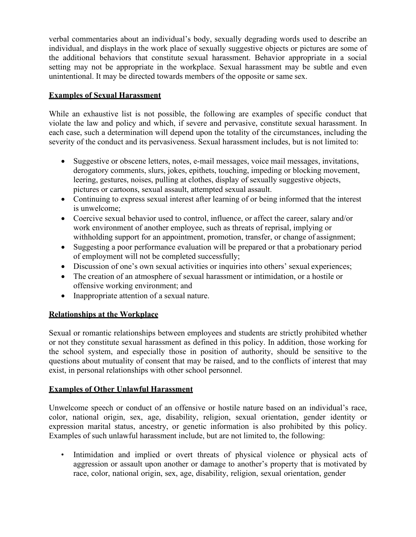unintentional. It may be directed towards members of the opposite or same sex. verbal commentaries about an individual's body, sexually degrading words used to describe an individual, and displays in the work place of sexually suggestive objects or pictures are some of the additional behaviors that constitute sexual harassment. Behavior appropriate in a social setting may not be appropriate in the workplace. Sexual harassment may be subtle and even

# **Examples of Sexual Harassment**

While an exhaustive list is not possible, the following are examples of specific conduct that violate the law and policy and which, if severe and pervasive, constitute sexual harassment. In each case, such a determination will depend upon the totality of the circumstances, including the severity of the conduct and its pervasiveness. Sexual harassment includes, but is not limited to:

- pictures or cartoons, sexual assault, attempted sexual assault. • Suggestive or obscene letters, notes, e-mail messages, voice mail messages, invitations, derogatory comments, slurs, jokes, epithets, touching, impeding or blocking movement, leering, gestures, noises, pulling at clothes, display of sexually suggestive objects,
- is unwelcome; • Continuing to express sexual interest after learning of or being informed that the interest
- withholding support for an appointment, promotion, transfer, or change of assignment; • Coercive sexual behavior used to control, influence, or affect the career, salary and/or work environment of another employee, such as threats of reprisal, implying or
- Suggesting a poor performance evaluation will be prepared or that a probationary period of employment will not be completed successfully;
- Discussion of one's own sexual activities or inquiries into others' sexual experiences;
- offensive working environment; and • The creation of an atmosphere of sexual harassment or intimidation, or a hostile or
- Inappropriate attention of a sexual nature.

## **Relationships at the Workplace**

Sexual or romantic relationships between employees and students are strictly prohibited whether or not they constitute sexual harassment as defined in this policy. In addition, those working for the school system, and especially those in position of authority, should be sensitive to the questions about mutuality of consent that may be raised, and to the conflicts of interest that may exist, in personal relationships with other school personnel.

## **Examples of Other Unlawful Harassment**

Unwelcome speech or conduct of an offensive or hostile nature based on an individual's race, color, national origin, sex, age, disability, religion, sexual orientation, gender identity or expression marital status, ancestry, or genetic information is also prohibited by this policy. Examples of such unlawful harassment include, but are not limited to, the following:

 race, color, national origin, sex, age, disability, religion, sexual orientation, gender • Intimidation and implied or overt threats of physical violence or physical acts of aggression or assault upon another or damage to another's property that is motivated by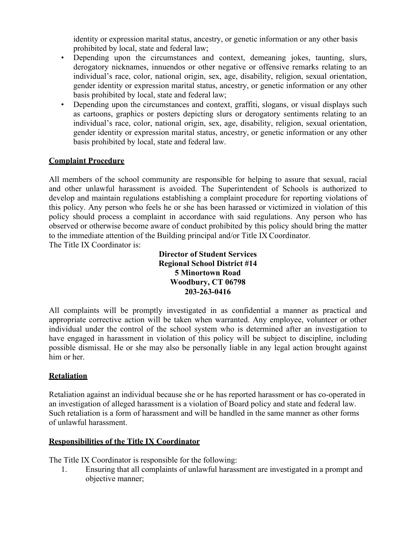identity or expression marital status, ancestry, or genetic information or any other basis prohibited by local, state and federal law;

- basis prohibited by local, state and federal law; • Depending upon the circumstances and context, demeaning jokes, taunting, slurs, derogatory nicknames, innuendos or other negative or offensive remarks relating to an individual's race, color, national origin, sex, age, disability, religion, sexual orientation, gender identity or expression marital status, ancestry, or genetic information or any other
- basis prohibited by local, state and federal law. • Depending upon the circumstances and context, graffiti, slogans, or visual displays such as cartoons, graphics or posters depicting slurs or derogatory sentiments relating to an individual's race, color, national origin, sex, age, disability, religion, sexual orientation, gender identity or expression marital status, ancestry, or genetic information or any other

# **Complaint Procedure**

All members of the school community are responsible for helping to assure that sexual, racial and other unlawful harassment is avoided. The Superintendent of Schools is authorized to develop and maintain regulations establishing a complaint procedure for reporting violations of this policy. Any person who feels he or she has been harassed or victimized in violation of this policy should process a complaint in accordance with said regulations. Any person who has observed or otherwise become aware of conduct prohibited by this policy should bring the matter to the immediate attention of the Building principal and/or Title IX Coordinator. The Title IX Coordinator is:

> **Director of Student Services Regional School District #14 5 Minortown Road Woodbury, CT 06798 203-263-0416**

 him or her. All complaints will be promptly investigated in as confidential a manner as practical and appropriate corrective action will be taken when warranted. Any employee, volunteer or other individual under the control of the school system who is determined after an investigation to have engaged in harassment in violation of this policy will be subject to discipline, including possible dismissal. He or she may also be personally liable in any legal action brought against

## **Retaliation**

Retaliation against an individual because she or he has reported harassment or has co-operated in an investigation of alleged harassment is a violation of Board policy and state and federal law. Such retaliation is a form of harassment and will be handled in the same manner as other forms of unlawful harassment.

## **Responsibilities of the Title IX Coordinator**

The Title IX Coordinator is responsible for the following:

1. Ensuring that all complaints of unlawful harassment are investigated in a prompt and objective manner;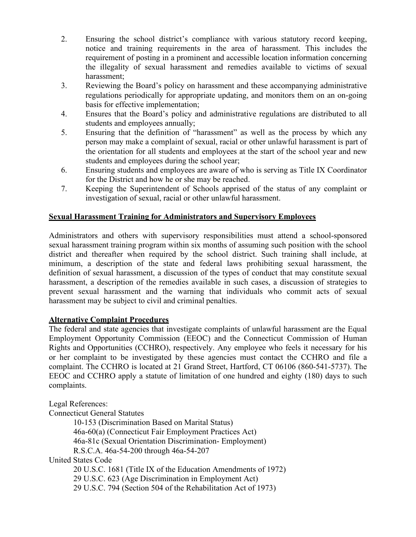- 2. Ensuring the school district's compliance with various statutory record keeping, notice and training requirements in the area of harassment. This includes the requirement of posting in a prominent and accessible location information concerning the illegality of sexual harassment and remedies available to victims of sexual harassment;
- 3. Reviewing the Board's policy on harassment and these accompanying administrative regulations periodically for appropriate updating, and monitors them on an on-going basis for effective implementation;
- students and employees annually; 4. Ensures that the Board's policy and administrative regulations are distributed to all
- students and employees during the school year; 5. Ensuring that the definition of "harassment" as well as the process by which any person may make a complaint of sexual, racial or other unlawful harassment is part of the orientation for all students and employees at the start of the school year and new
- 6. Ensuring students and employees are aware of who is serving as Title IX Coordinator for the District and how he or she may be reached.
- investigation of sexual, racial or other unlawful harassment. 7. Keeping the Superintendent of Schools apprised of the status of any complaint or

## **Sexual Harassment Training for Administrators and Supervisory Employees**

 harassment may be subject to civil and criminal penalties. Administrators and others with supervisory responsibilities must attend a school-sponsored sexual harassment training program within six months of assuming such position with the school district and thereafter when required by the school district. Such training shall include, at minimum, a description of the state and federal laws prohibiting sexual harassment, the definition of sexual harassment, a discussion of the types of conduct that may constitute sexual harassment, a description of the remedies available in such cases, a discussion of strategies to prevent sexual harassment and the warning that individuals who commit acts of sexual

#### **Alternative Complaint Procedures**

The federal and state agencies that investigate complaints of unlawful harassment are the Equal Employment Opportunity Commission (EEOC) and the Connecticut Commission of Human Rights and Opportunities (CCHRO), respectively. Any employee who feels it necessary for his or her complaint to be investigated by these agencies must contact the CCHRO and file a complaint. The CCHRO is located at 21 Grand Street, Hartford, CT 06106 (860-541-5737). The EEOC and CCHRO apply a statute of limitation of one hundred and eighty (180) days to such complaints.

Legal References: Connecticut General Statutes 10-153 (Discrimination Based on Marital Status) 46a-60(a) (Connecticut Fair Employment Practices Act) 46a-81c (Sexual Orientation Discrimination- Employment) R.S.C.A. 46a-54-200 through 46a-54-207 United States Code 20 U.S.C. 1681 (Title IX of the Education Amendments of 1972) 29 U.S.C. 623 (Age Discrimination in Employment Act) 29 U.S.C. 794 (Section 504 of the Rehabilitation Act of 1973)